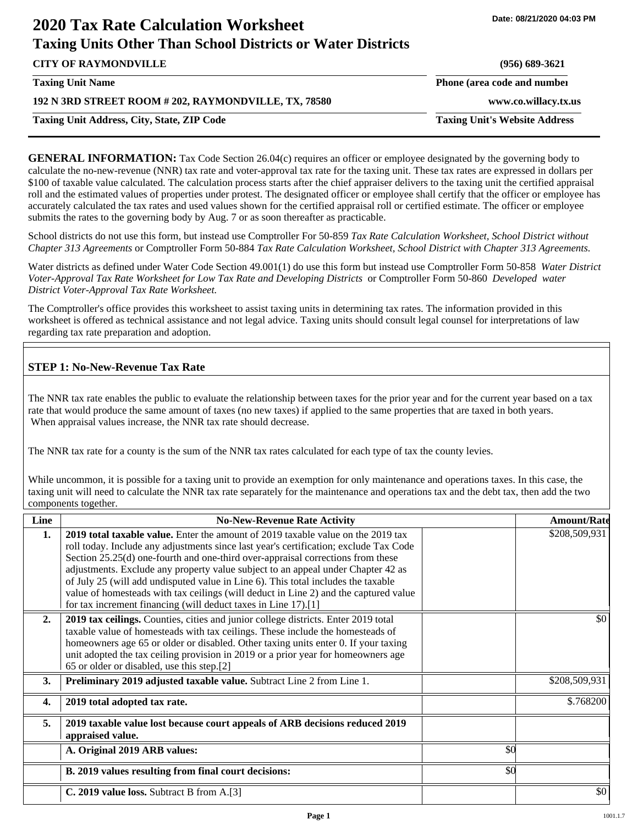| <b>Taxing Units Other Than School Districts or Water Districts</b> |                                      |
|--------------------------------------------------------------------|--------------------------------------|
| <b>CITY OF RAYMONDVILLE</b>                                        | $(956) 689 - 3621$                   |
| <b>Taxing Unit Name</b>                                            | Phone (area code and number          |
| 192 N 3RD STREET ROOM # 202, RAYMONDVILLE, TX, 78580               | www.co.willacy.tx.us                 |
| <b>Taxing Unit Address, City, State, ZIP Code</b>                  | <b>Taxing Unit's Website Address</b> |
|                                                                    |                                      |

**GENERAL INFORMATION:** Tax Code Section 26.04(c) requires an officer or employee designated by the governing body to calculate the no-new-revenue (NNR) tax rate and voter-approval tax rate for the taxing unit. These tax rates are expressed in dollars per \$100 of taxable value calculated. The calculation process starts after the chief appraiser delivers to the taxing unit the certified appraisal roll and the estimated values of properties under protest. The designated officer or employee shall certify that the officer or employee has accurately calculated the tax rates and used values shown for the certified appraisal roll or certified estimate. The officer or employee submits the rates to the governing body by Aug. 7 or as soon thereafter as practicable.

School districts do not use this form, but instead use Comptroller For 50-859 *Tax Rate Calculation Worksheet, School District without Chapter 313 Agreements* or Comptroller Form 50-884 *Tax Rate Calculation Worksheet, School District with Chapter 313 Agreements.*

Water districts as defined under Water Code Section 49.001(1) do use this form but instead use Comptroller Form 50-858 *Water District Voter-Approval Tax Rate Worksheet for Low Tax Rate and Developing Districts* or Comptroller Form 50-860 *Developed water District Voter-Approval Tax Rate Worksheet.*

The Comptroller's office provides this worksheet to assist taxing units in determining tax rates. The information provided in this worksheet is offered as technical assistance and not legal advice. Taxing units should consult legal counsel for interpretations of law regarding tax rate preparation and adoption.

## **STEP 1: No-New-Revenue Tax Rate**

**2020 Tax Rate Calculation Worksheet**

The NNR tax rate enables the public to evaluate the relationship between taxes for the prior year and for the current year based on a tax rate that would produce the same amount of taxes (no new taxes) if applied to the same properties that are taxed in both years. When appraisal values increase, the NNR tax rate should decrease.

The NNR tax rate for a county is the sum of the NNR tax rates calculated for each type of tax the county levies.

While uncommon, it is possible for a taxing unit to provide an exemption for only maintenance and operations taxes. In this case, the taxing unit will need to calculate the NNR tax rate separately for the maintenance and operations tax and the debt tax, then add the two components together.

| Line | <b>No-New-Revenue Rate Activity</b>                                                                                                                                                                                                                                                                                                                                                                                                                                                                                                                                                             |     | <b>Amount/Rate</b> |
|------|-------------------------------------------------------------------------------------------------------------------------------------------------------------------------------------------------------------------------------------------------------------------------------------------------------------------------------------------------------------------------------------------------------------------------------------------------------------------------------------------------------------------------------------------------------------------------------------------------|-----|--------------------|
| 1.   | 2019 total taxable value. Enter the amount of 2019 taxable value on the 2019 tax<br>roll today. Include any adjustments since last year's certification; exclude Tax Code<br>Section 25.25(d) one-fourth and one-third over-appraisal corrections from these<br>adjustments. Exclude any property value subject to an appeal under Chapter 42 as<br>of July 25 (will add undisputed value in Line 6). This total includes the taxable<br>value of homesteads with tax ceilings (will deduct in Line 2) and the captured value<br>for tax increment financing (will deduct taxes in Line 17).[1] |     | \$208,509,931      |
| 2.   | 2019 tax ceilings. Counties, cities and junior college districts. Enter 2019 total<br>taxable value of homesteads with tax ceilings. These include the homesteads of<br>homeowners age 65 or older or disabled. Other taxing units enter 0. If your taxing<br>unit adopted the tax ceiling provision in 2019 or a prior year for homeowners age<br>65 or older or disabled, use this step.[2]                                                                                                                                                                                                   |     | \$0                |
| 3.   | Preliminary 2019 adjusted taxable value. Subtract Line 2 from Line 1.                                                                                                                                                                                                                                                                                                                                                                                                                                                                                                                           |     | \$208,509,931      |
| 4.   | 2019 total adopted tax rate.                                                                                                                                                                                                                                                                                                                                                                                                                                                                                                                                                                    |     | \$.768200          |
| 5.   | 2019 taxable value lost because court appeals of ARB decisions reduced 2019<br>appraised value.                                                                                                                                                                                                                                                                                                                                                                                                                                                                                                 |     |                    |
|      | A. Original 2019 ARB values:                                                                                                                                                                                                                                                                                                                                                                                                                                                                                                                                                                    | \$0 |                    |
|      | B. 2019 values resulting from final court decisions:                                                                                                                                                                                                                                                                                                                                                                                                                                                                                                                                            | \$0 |                    |
|      | C. 2019 value loss. Subtract B from A.[3]                                                                                                                                                                                                                                                                                                                                                                                                                                                                                                                                                       |     | \$0                |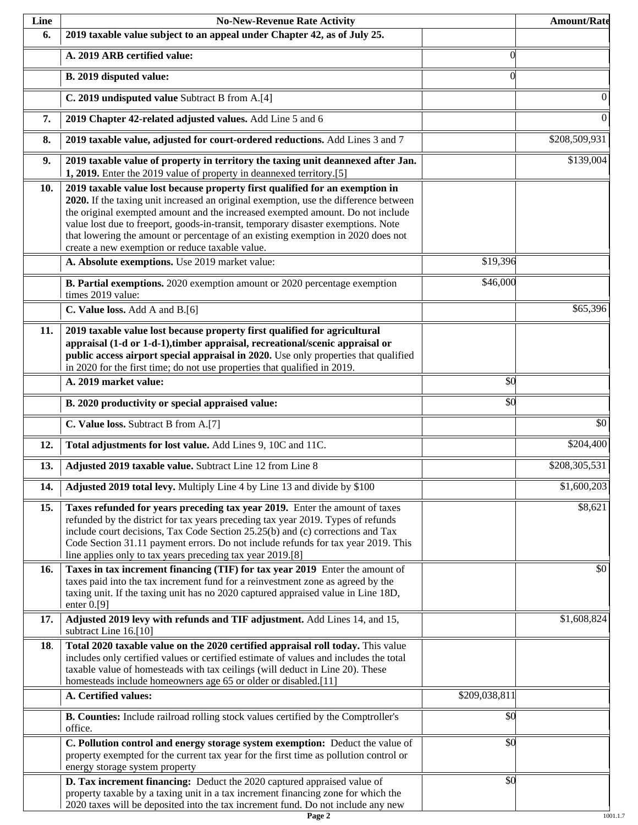| Line | <b>No-New-Revenue Rate Activity</b>                                                                                                                                                                                                                                                                                                                                                                                                                                                |               | <b>Amount/Rate</b> |
|------|------------------------------------------------------------------------------------------------------------------------------------------------------------------------------------------------------------------------------------------------------------------------------------------------------------------------------------------------------------------------------------------------------------------------------------------------------------------------------------|---------------|--------------------|
| 6.   | 2019 taxable value subject to an appeal under Chapter 42, as of July 25.                                                                                                                                                                                                                                                                                                                                                                                                           |               |                    |
|      | A. 2019 ARB certified value:                                                                                                                                                                                                                                                                                                                                                                                                                                                       | $\Omega$      |                    |
|      | B. 2019 disputed value:                                                                                                                                                                                                                                                                                                                                                                                                                                                            | $\Omega$      |                    |
|      | C. 2019 undisputed value Subtract B from A.[4]                                                                                                                                                                                                                                                                                                                                                                                                                                     |               | 0                  |
| 7.   | 2019 Chapter 42-related adjusted values. Add Line 5 and 6                                                                                                                                                                                                                                                                                                                                                                                                                          |               | $\boldsymbol{0}$   |
| 8.   | 2019 taxable value, adjusted for court-ordered reductions. Add Lines 3 and 7                                                                                                                                                                                                                                                                                                                                                                                                       |               | \$208,509,931      |
| 9.   | 2019 taxable value of property in territory the taxing unit deannexed after Jan.<br>1, 2019. Enter the 2019 value of property in deannexed territory.[5]                                                                                                                                                                                                                                                                                                                           |               | \$139,004          |
| 10.  | 2019 taxable value lost because property first qualified for an exemption in<br>2020. If the taxing unit increased an original exemption, use the difference between<br>the original exempted amount and the increased exempted amount. Do not include<br>value lost due to freeport, goods-in-transit, temporary disaster exemptions. Note<br>that lowering the amount or percentage of an existing exemption in 2020 does not<br>create a new exemption or reduce taxable value. |               |                    |
|      | A. Absolute exemptions. Use 2019 market value:                                                                                                                                                                                                                                                                                                                                                                                                                                     | \$19,396      |                    |
|      | B. Partial exemptions. 2020 exemption amount or 2020 percentage exemption<br>times 2019 value:                                                                                                                                                                                                                                                                                                                                                                                     | \$46,000      |                    |
|      | C. Value loss. Add A and B.[6]                                                                                                                                                                                                                                                                                                                                                                                                                                                     |               | \$65,396           |
| 11.  | 2019 taxable value lost because property first qualified for agricultural<br>appraisal (1-d or 1-d-1), timber appraisal, recreational/scenic appraisal or<br>public access airport special appraisal in 2020. Use only properties that qualified<br>in 2020 for the first time; do not use properties that qualified in 2019.                                                                                                                                                      |               |                    |
|      | A. 2019 market value:                                                                                                                                                                                                                                                                                                                                                                                                                                                              | \$0           |                    |
|      | B. 2020 productivity or special appraised value:                                                                                                                                                                                                                                                                                                                                                                                                                                   | \$0           |                    |
|      | C. Value loss. Subtract B from A.[7]                                                                                                                                                                                                                                                                                                                                                                                                                                               |               | $\overline{50}$    |
| 12.  | Total adjustments for lost value. Add Lines 9, 10C and 11C.                                                                                                                                                                                                                                                                                                                                                                                                                        |               | \$204,400          |
| 13.  | Adjusted 2019 taxable value. Subtract Line 12 from Line 8                                                                                                                                                                                                                                                                                                                                                                                                                          |               | \$208,305,531      |
| 14.  | Adjusted 2019 total levy. Multiply Line 4 by Line 13 and divide by \$100                                                                                                                                                                                                                                                                                                                                                                                                           |               | \$1,600,203        |
| 15.  | Taxes refunded for years preceding tax year 2019. Enter the amount of taxes<br>refunded by the district for tax years preceding tax year 2019. Types of refunds<br>include court decisions, Tax Code Section 25.25(b) and (c) corrections and Tax<br>Code Section 31.11 payment errors. Do not include refunds for tax year 2019. This<br>line applies only to tax years preceding tax year 2019.[8]                                                                               |               | \$8,621            |
| 16.  | Taxes in tax increment financing (TIF) for tax year 2019 Enter the amount of<br>taxes paid into the tax increment fund for a reinvestment zone as agreed by the<br>taxing unit. If the taxing unit has no 2020 captured appraised value in Line 18D,<br>enter $0.9$ ]                                                                                                                                                                                                              |               | \$0                |
| 17.  | Adjusted 2019 levy with refunds and TIF adjustment. Add Lines 14, and 15,<br>subtract Line 16.[10]                                                                                                                                                                                                                                                                                                                                                                                 |               | \$1,608,824        |
| 18.  | Total 2020 taxable value on the 2020 certified appraisal roll today. This value<br>includes only certified values or certified estimate of values and includes the total<br>taxable value of homesteads with tax ceilings (will deduct in Line 20). These<br>homesteads include homeowners age 65 or older or disabled.[11]                                                                                                                                                        |               |                    |
|      | A. Certified values:                                                                                                                                                                                                                                                                                                                                                                                                                                                               | \$209,038,811 |                    |
|      | B. Counties: Include railroad rolling stock values certified by the Comptroller's<br>office.                                                                                                                                                                                                                                                                                                                                                                                       | \$0           |                    |
|      | C. Pollution control and energy storage system exemption: Deduct the value of<br>property exempted for the current tax year for the first time as pollution control or<br>energy storage system property                                                                                                                                                                                                                                                                           | \$0           |                    |
|      | D. Tax increment financing: Deduct the 2020 captured appraised value of<br>property taxable by a taxing unit in a tax increment financing zone for which the<br>2020 taxes will be deposited into the tax increment fund. Do not include any new                                                                                                                                                                                                                                   | \$0           |                    |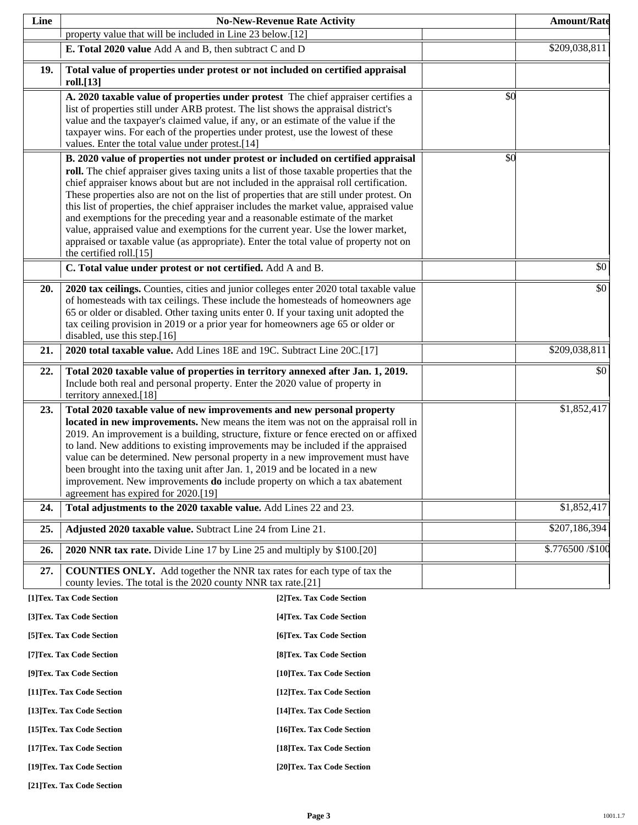| Line |                                                                                                                                                                                                                                                                                                                                                                                                                                                                                                                                                                                                                                                                                                                                                                                                                       | <b>No-New-Revenue Rate Activity</b> |     | <b>Amount/Rate</b> |
|------|-----------------------------------------------------------------------------------------------------------------------------------------------------------------------------------------------------------------------------------------------------------------------------------------------------------------------------------------------------------------------------------------------------------------------------------------------------------------------------------------------------------------------------------------------------------------------------------------------------------------------------------------------------------------------------------------------------------------------------------------------------------------------------------------------------------------------|-------------------------------------|-----|--------------------|
|      | property value that will be included in Line 23 below.[12]                                                                                                                                                                                                                                                                                                                                                                                                                                                                                                                                                                                                                                                                                                                                                            |                                     |     |                    |
|      | E. Total 2020 value Add A and B, then subtract C and D                                                                                                                                                                                                                                                                                                                                                                                                                                                                                                                                                                                                                                                                                                                                                                |                                     |     | \$209,038,811      |
| 19.  | Total value of properties under protest or not included on certified appraisal<br>roll.[13]                                                                                                                                                                                                                                                                                                                                                                                                                                                                                                                                                                                                                                                                                                                           |                                     |     |                    |
|      | A. 2020 taxable value of properties under protest The chief appraiser certifies a<br>list of properties still under ARB protest. The list shows the appraisal district's<br>value and the taxpayer's claimed value, if any, or an estimate of the value if the<br>taxpayer wins. For each of the properties under protest, use the lowest of these<br>values. Enter the total value under protest.[14]                                                                                                                                                                                                                                                                                                                                                                                                                |                                     | \$0 |                    |
|      | B. 2020 value of properties not under protest or included on certified appraisal<br>roll. The chief appraiser gives taxing units a list of those taxable properties that the<br>chief appraiser knows about but are not included in the appraisal roll certification.<br>These properties also are not on the list of properties that are still under protest. On<br>this list of properties, the chief appraiser includes the market value, appraised value<br>and exemptions for the preceding year and a reasonable estimate of the market<br>value, appraised value and exemptions for the current year. Use the lower market,<br>appraised or taxable value (as appropriate). Enter the total value of property not on<br>the certified roll.[15]<br>C. Total value under protest or not certified. Add A and B. |                                     | \$0 | \$0                |
|      |                                                                                                                                                                                                                                                                                                                                                                                                                                                                                                                                                                                                                                                                                                                                                                                                                       |                                     |     |                    |
| 20.  | 2020 tax ceilings. Counties, cities and junior colleges enter 2020 total taxable value<br>of homesteads with tax ceilings. These include the homesteads of homeowners age<br>65 or older or disabled. Other taxing units enter 0. If your taxing unit adopted the<br>tax ceiling provision in 2019 or a prior year for homeowners age 65 or older or<br>disabled, use this step.[16]                                                                                                                                                                                                                                                                                                                                                                                                                                  |                                     |     | \$0                |
| 21.  | 2020 total taxable value. Add Lines 18E and 19C. Subtract Line 20C.[17]                                                                                                                                                                                                                                                                                                                                                                                                                                                                                                                                                                                                                                                                                                                                               |                                     |     | \$209,038,811      |
| 22.  | Total 2020 taxable value of properties in territory annexed after Jan. 1, 2019.<br>Include both real and personal property. Enter the 2020 value of property in<br>territory annexed.[18]                                                                                                                                                                                                                                                                                                                                                                                                                                                                                                                                                                                                                             |                                     |     | \$0                |
| 23.  | Total 2020 taxable value of new improvements and new personal property<br>located in new improvements. New means the item was not on the appraisal roll in<br>2019. An improvement is a building, structure, fixture or fence erected on or affixed<br>to land. New additions to existing improvements may be included if the appraised<br>value can be determined. New personal property in a new improvement must have<br>been brought into the taxing unit after Jan. 1, 2019 and be located in a new<br>improvement. New improvements <b>do</b> include property on which a tax abatement                                                                                                                                                                                                                         |                                     |     | \$1,852,417        |
| 24.  | agreement has expired for 2020.[19]<br>Total adjustments to the 2020 taxable value. Add Lines 22 and 23.                                                                                                                                                                                                                                                                                                                                                                                                                                                                                                                                                                                                                                                                                                              |                                     |     | \$1,852,417        |
| 25.  | Adjusted 2020 taxable value. Subtract Line 24 from Line 21.                                                                                                                                                                                                                                                                                                                                                                                                                                                                                                                                                                                                                                                                                                                                                           |                                     |     | \$207,186,394      |
| 26.  | 2020 NNR tax rate. Divide Line 17 by Line 25 and multiply by \$100.[20]                                                                                                                                                                                                                                                                                                                                                                                                                                                                                                                                                                                                                                                                                                                                               |                                     |     | \$.776500 / \$100  |
| 27.  | <b>COUNTIES ONLY.</b> Add together the NNR tax rates for each type of tax the<br>county levies. The total is the 2020 county NNR tax rate.[21]                                                                                                                                                                                                                                                                                                                                                                                                                                                                                                                                                                                                                                                                        |                                     |     |                    |
|      | [1]Tex. Tax Code Section                                                                                                                                                                                                                                                                                                                                                                                                                                                                                                                                                                                                                                                                                                                                                                                              | [2]Tex. Tax Code Section            |     |                    |
|      | [3]Tex. Tax Code Section                                                                                                                                                                                                                                                                                                                                                                                                                                                                                                                                                                                                                                                                                                                                                                                              | [4] Tex. Tax Code Section           |     |                    |
|      | [5] Tex. Tax Code Section                                                                                                                                                                                                                                                                                                                                                                                                                                                                                                                                                                                                                                                                                                                                                                                             | [6]Tex. Tax Code Section            |     |                    |
|      | [7] Tex. Tax Code Section                                                                                                                                                                                                                                                                                                                                                                                                                                                                                                                                                                                                                                                                                                                                                                                             | [8] Tex. Tax Code Section           |     |                    |
|      | [9]Tex. Tax Code Section                                                                                                                                                                                                                                                                                                                                                                                                                                                                                                                                                                                                                                                                                                                                                                                              | [10]Tex. Tax Code Section           |     |                    |
|      | [11] Tex. Tax Code Section                                                                                                                                                                                                                                                                                                                                                                                                                                                                                                                                                                                                                                                                                                                                                                                            | [12] Tex. Tax Code Section          |     |                    |
|      | [13] Tex. Tax Code Section                                                                                                                                                                                                                                                                                                                                                                                                                                                                                                                                                                                                                                                                                                                                                                                            | [14] Tex. Tax Code Section          |     |                    |
|      | [15] Tex. Tax Code Section                                                                                                                                                                                                                                                                                                                                                                                                                                                                                                                                                                                                                                                                                                                                                                                            | [16] Tex. Tax Code Section          |     |                    |
|      | [17] Tex. Tax Code Section                                                                                                                                                                                                                                                                                                                                                                                                                                                                                                                                                                                                                                                                                                                                                                                            | [18]Tex. Tax Code Section           |     |                    |
|      | [19]Tex. Tax Code Section                                                                                                                                                                                                                                                                                                                                                                                                                                                                                                                                                                                                                                                                                                                                                                                             | [20]Tex. Tax Code Section           |     |                    |

**[21]Tex. Tax Code Section**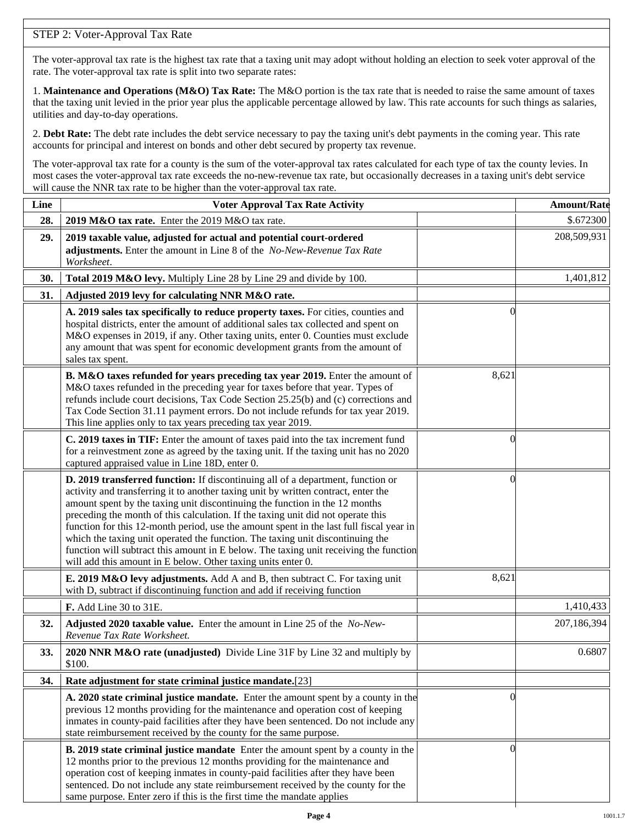# STEP 2: Voter-Approval Tax Rate

The voter-approval tax rate is the highest tax rate that a taxing unit may adopt without holding an election to seek voter approval of the rate. The voter-approval tax rate is split into two separate rates:

1. **Maintenance and Operations (M&O) Tax Rate:** The M&O portion is the tax rate that is needed to raise the same amount of taxes that the taxing unit levied in the prior year plus the applicable percentage allowed by law. This rate accounts for such things as salaries, utilities and day-to-day operations.

2. **Debt Rate:** The debt rate includes the debt service necessary to pay the taxing unit's debt payments in the coming year. This rate accounts for principal and interest on bonds and other debt secured by property tax revenue.

The voter-approval tax rate for a county is the sum of the voter-approval tax rates calculated for each type of tax the county levies. In most cases the voter-approval tax rate exceeds the no-new-revenue tax rate, but occasionally decreases in a taxing unit's debt service will cause the NNR tax rate to be higher than the voter-approval tax rate.

| Line | <b>Voter Approval Tax Rate Activity</b>                                                                                                                                                                                                                                                                                                                                                                                                                                                                                                                                                                                                                                        |                | <b>Amount/Rate</b> |
|------|--------------------------------------------------------------------------------------------------------------------------------------------------------------------------------------------------------------------------------------------------------------------------------------------------------------------------------------------------------------------------------------------------------------------------------------------------------------------------------------------------------------------------------------------------------------------------------------------------------------------------------------------------------------------------------|----------------|--------------------|
| 28.  | 2019 M&O tax rate. Enter the 2019 M&O tax rate.                                                                                                                                                                                                                                                                                                                                                                                                                                                                                                                                                                                                                                |                | \$.672300          |
| 29.  | 2019 taxable value, adjusted for actual and potential court-ordered<br>adjustments. Enter the amount in Line 8 of the No-New-Revenue Tax Rate<br>Worksheet.                                                                                                                                                                                                                                                                                                                                                                                                                                                                                                                    |                | 208,509,931        |
| 30.  | Total 2019 M&O levy. Multiply Line 28 by Line 29 and divide by 100.                                                                                                                                                                                                                                                                                                                                                                                                                                                                                                                                                                                                            |                | 1,401,812          |
| 31.  | Adjusted 2019 levy for calculating NNR M&O rate.                                                                                                                                                                                                                                                                                                                                                                                                                                                                                                                                                                                                                               |                |                    |
|      | A. 2019 sales tax specifically to reduce property taxes. For cities, counties and<br>hospital districts, enter the amount of additional sales tax collected and spent on<br>M&O expenses in 2019, if any. Other taxing units, enter 0. Counties must exclude<br>any amount that was spent for economic development grants from the amount of<br>sales tax spent.                                                                                                                                                                                                                                                                                                               | $\Omega$       |                    |
|      | B. M&O taxes refunded for years preceding tax year 2019. Enter the amount of<br>M&O taxes refunded in the preceding year for taxes before that year. Types of<br>refunds include court decisions, Tax Code Section 25.25(b) and (c) corrections and<br>Tax Code Section 31.11 payment errors. Do not include refunds for tax year 2019.<br>This line applies only to tax years preceding tax year 2019.                                                                                                                                                                                                                                                                        | 8,621          |                    |
|      | C. 2019 taxes in TIF: Enter the amount of taxes paid into the tax increment fund<br>for a reinvestment zone as agreed by the taxing unit. If the taxing unit has no 2020<br>captured appraised value in Line 18D, enter 0.                                                                                                                                                                                                                                                                                                                                                                                                                                                     | 0              |                    |
|      | D. 2019 transferred function: If discontinuing all of a department, function or<br>activity and transferring it to another taxing unit by written contract, enter the<br>amount spent by the taxing unit discontinuing the function in the 12 months<br>preceding the month of this calculation. If the taxing unit did not operate this<br>function for this 12-month period, use the amount spent in the last full fiscal year in<br>which the taxing unit operated the function. The taxing unit discontinuing the<br>function will subtract this amount in E below. The taxing unit receiving the function<br>will add this amount in E below. Other taxing units enter 0. | $\left($       |                    |
|      | E. 2019 M&O levy adjustments. Add A and B, then subtract C. For taxing unit<br>with D, subtract if discontinuing function and add if receiving function                                                                                                                                                                                                                                                                                                                                                                                                                                                                                                                        | 8,621          |                    |
|      | F. Add Line 30 to 31E.                                                                                                                                                                                                                                                                                                                                                                                                                                                                                                                                                                                                                                                         |                | 1,410,433          |
| 32.  | Adjusted 2020 taxable value. Enter the amount in Line 25 of the No-New-<br>Revenue Tax Rate Worksheet.                                                                                                                                                                                                                                                                                                                                                                                                                                                                                                                                                                         |                | 207,186,394        |
| 33.  | 2020 NNR M&O rate (unadjusted) Divide Line 31F by Line 32 and multiply by<br>\$100.                                                                                                                                                                                                                                                                                                                                                                                                                                                                                                                                                                                            |                | 0.6807             |
| 34.  | Rate adjustment for state criminal justice mandate.[23]                                                                                                                                                                                                                                                                                                                                                                                                                                                                                                                                                                                                                        |                |                    |
|      | A. 2020 state criminal justice mandate. Enter the amount spent by a county in the<br>previous 12 months providing for the maintenance and operation cost of keeping<br>inmates in county-paid facilities after they have been sentenced. Do not include any<br>state reimbursement received by the county for the same purpose.                                                                                                                                                                                                                                                                                                                                                | $\Omega$       |                    |
|      | <b>B. 2019 state criminal justice mandate</b> Enter the amount spent by a county in the<br>12 months prior to the previous 12 months providing for the maintenance and<br>operation cost of keeping inmates in county-paid facilities after they have been<br>sentenced. Do not include any state reimbursement received by the county for the<br>same purpose. Enter zero if this is the first time the mandate applies                                                                                                                                                                                                                                                       | $\overline{0}$ |                    |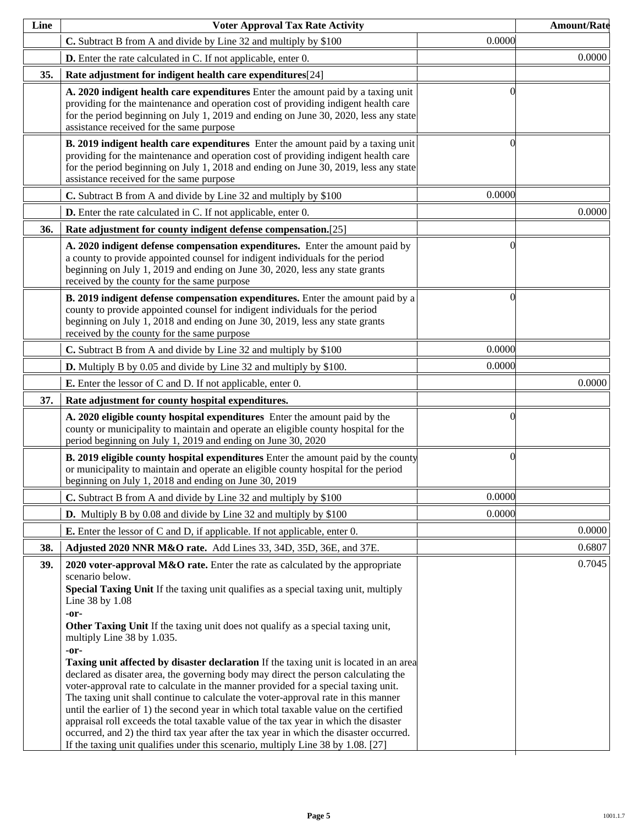| Line | <b>Voter Approval Tax Rate Activity</b>                                                                                                                                                                                                                                                                                                                                                                                                                                                                                                                                                                                                                                                                                                                                                                                                                                                                                                                                                                                                                                      |          | <b>Amount/Rate</b> |
|------|------------------------------------------------------------------------------------------------------------------------------------------------------------------------------------------------------------------------------------------------------------------------------------------------------------------------------------------------------------------------------------------------------------------------------------------------------------------------------------------------------------------------------------------------------------------------------------------------------------------------------------------------------------------------------------------------------------------------------------------------------------------------------------------------------------------------------------------------------------------------------------------------------------------------------------------------------------------------------------------------------------------------------------------------------------------------------|----------|--------------------|
|      | C. Subtract B from A and divide by Line 32 and multiply by \$100                                                                                                                                                                                                                                                                                                                                                                                                                                                                                                                                                                                                                                                                                                                                                                                                                                                                                                                                                                                                             | 0.0000   |                    |
|      | <b>D.</b> Enter the rate calculated in C. If not applicable, enter 0.                                                                                                                                                                                                                                                                                                                                                                                                                                                                                                                                                                                                                                                                                                                                                                                                                                                                                                                                                                                                        |          | 0.0000             |
| 35.  | Rate adjustment for indigent health care expenditures[24]                                                                                                                                                                                                                                                                                                                                                                                                                                                                                                                                                                                                                                                                                                                                                                                                                                                                                                                                                                                                                    |          |                    |
|      | A. 2020 indigent health care expenditures Enter the amount paid by a taxing unit<br>providing for the maintenance and operation cost of providing indigent health care<br>for the period beginning on July 1, 2019 and ending on June 30, 2020, less any state<br>assistance received for the same purpose                                                                                                                                                                                                                                                                                                                                                                                                                                                                                                                                                                                                                                                                                                                                                                   | ſ        |                    |
|      | <b>B.</b> 2019 indigent health care expenditures Enter the amount paid by a taxing unit<br>providing for the maintenance and operation cost of providing indigent health care<br>for the period beginning on July 1, 2018 and ending on June 30, 2019, less any state<br>assistance received for the same purpose                                                                                                                                                                                                                                                                                                                                                                                                                                                                                                                                                                                                                                                                                                                                                            | 0        |                    |
|      | C. Subtract B from A and divide by Line 32 and multiply by \$100                                                                                                                                                                                                                                                                                                                                                                                                                                                                                                                                                                                                                                                                                                                                                                                                                                                                                                                                                                                                             | 0.0000   |                    |
|      | D. Enter the rate calculated in C. If not applicable, enter 0.                                                                                                                                                                                                                                                                                                                                                                                                                                                                                                                                                                                                                                                                                                                                                                                                                                                                                                                                                                                                               |          | 0.0000             |
| 36.  | Rate adjustment for county indigent defense compensation.[25]                                                                                                                                                                                                                                                                                                                                                                                                                                                                                                                                                                                                                                                                                                                                                                                                                                                                                                                                                                                                                |          |                    |
|      | A. 2020 indigent defense compensation expenditures. Enter the amount paid by<br>a county to provide appointed counsel for indigent individuals for the period<br>beginning on July 1, 2019 and ending on June 30, 2020, less any state grants<br>received by the county for the same purpose                                                                                                                                                                                                                                                                                                                                                                                                                                                                                                                                                                                                                                                                                                                                                                                 | 0        |                    |
|      | B. 2019 indigent defense compensation expenditures. Enter the amount paid by a<br>county to provide appointed counsel for indigent individuals for the period<br>beginning on July 1, 2018 and ending on June 30, 2019, less any state grants<br>received by the county for the same purpose                                                                                                                                                                                                                                                                                                                                                                                                                                                                                                                                                                                                                                                                                                                                                                                 | 0        |                    |
|      | C. Subtract B from A and divide by Line 32 and multiply by \$100                                                                                                                                                                                                                                                                                                                                                                                                                                                                                                                                                                                                                                                                                                                                                                                                                                                                                                                                                                                                             | 0.0000   |                    |
|      | <b>D.</b> Multiply B by 0.05 and divide by Line 32 and multiply by \$100.                                                                                                                                                                                                                                                                                                                                                                                                                                                                                                                                                                                                                                                                                                                                                                                                                                                                                                                                                                                                    | 0.0000   |                    |
|      | <b>E.</b> Enter the lessor of C and D. If not applicable, enter 0.                                                                                                                                                                                                                                                                                                                                                                                                                                                                                                                                                                                                                                                                                                                                                                                                                                                                                                                                                                                                           |          | 0.0000             |
| 37.  | Rate adjustment for county hospital expenditures.                                                                                                                                                                                                                                                                                                                                                                                                                                                                                                                                                                                                                                                                                                                                                                                                                                                                                                                                                                                                                            |          |                    |
|      | A. 2020 eligible county hospital expenditures Enter the amount paid by the<br>county or municipality to maintain and operate an eligible county hospital for the<br>period beginning on July 1, 2019 and ending on June 30, 2020                                                                                                                                                                                                                                                                                                                                                                                                                                                                                                                                                                                                                                                                                                                                                                                                                                             | 0        |                    |
|      | <b>B. 2019 eligible county hospital expenditures</b> Enter the amount paid by the county<br>or municipality to maintain and operate an eligible county hospital for the period<br>beginning on July 1, 2018 and ending on June 30, 2019                                                                                                                                                                                                                                                                                                                                                                                                                                                                                                                                                                                                                                                                                                                                                                                                                                      | $\theta$ |                    |
|      | C. Subtract B from A and divide by Line 32 and multiply by \$100                                                                                                                                                                                                                                                                                                                                                                                                                                                                                                                                                                                                                                                                                                                                                                                                                                                                                                                                                                                                             | 0.0000   |                    |
|      | <b>D.</b> Multiply B by 0.08 and divide by Line 32 and multiply by \$100                                                                                                                                                                                                                                                                                                                                                                                                                                                                                                                                                                                                                                                                                                                                                                                                                                                                                                                                                                                                     | 0.0000   |                    |
|      | <b>E.</b> Enter the lessor of C and D, if applicable. If not applicable, enter 0.                                                                                                                                                                                                                                                                                                                                                                                                                                                                                                                                                                                                                                                                                                                                                                                                                                                                                                                                                                                            |          | 0.0000             |
| 38.  | Adjusted 2020 NNR M&O rate. Add Lines 33, 34D, 35D, 36E, and 37E.                                                                                                                                                                                                                                                                                                                                                                                                                                                                                                                                                                                                                                                                                                                                                                                                                                                                                                                                                                                                            |          | 0.6807             |
| 39.  | 2020 voter-approval M&O rate. Enter the rate as calculated by the appropriate<br>scenario below.<br>Special Taxing Unit If the taxing unit qualifies as a special taxing unit, multiply<br>Line 38 by 1.08<br>-or-<br>Other Taxing Unit If the taxing unit does not qualify as a special taxing unit,<br>multiply Line 38 by 1.035.<br>-or-<br><b>Taxing unit affected by disaster declaration</b> If the taxing unit is located in an area<br>declared as disater area, the governing body may direct the person calculating the<br>voter-approval rate to calculate in the manner provided for a special taxing unit.<br>The taxing unit shall continue to calculate the voter-approval rate in this manner<br>until the earlier of 1) the second year in which total taxable value on the certified<br>appraisal roll exceeds the total taxable value of the tax year in which the disaster<br>occurred, and 2) the third tax year after the tax year in which the disaster occurred.<br>If the taxing unit qualifies under this scenario, multiply Line 38 by 1.08. [27] |          | 0.7045             |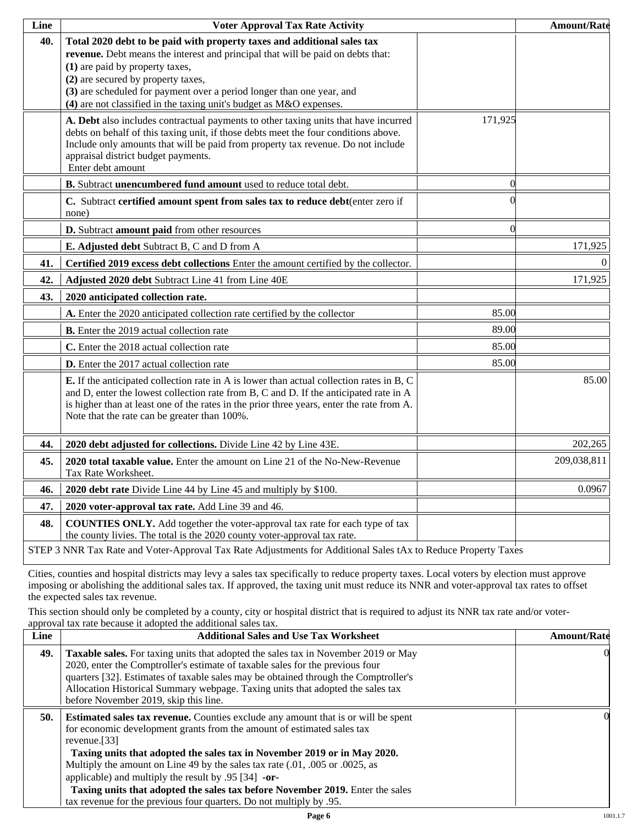| Line | <b>Voter Approval Tax Rate Activity</b>                                                                                                                                                                                                                                                                                                                                               |                | <b>Amount/Rate</b> |
|------|---------------------------------------------------------------------------------------------------------------------------------------------------------------------------------------------------------------------------------------------------------------------------------------------------------------------------------------------------------------------------------------|----------------|--------------------|
| 40.  | Total 2020 debt to be paid with property taxes and additional sales tax<br>revenue. Debt means the interest and principal that will be paid on debts that:<br>(1) are paid by property taxes,<br>(2) are secured by property taxes,<br>(3) are scheduled for payment over a period longer than one year, and<br>$(4)$ are not classified in the taxing unit's budget as M&O expenses. |                |                    |
|      | A. Debt also includes contractual payments to other taxing units that have incurred<br>debts on behalf of this taxing unit, if those debts meet the four conditions above.<br>Include only amounts that will be paid from property tax revenue. Do not include<br>appraisal district budget payments.<br>Enter debt amount                                                            | 171,925        |                    |
|      | B. Subtract unencumbered fund amount used to reduce total debt.                                                                                                                                                                                                                                                                                                                       | $\overline{0}$ |                    |
|      | C. Subtract certified amount spent from sales tax to reduce debt(enter zero if<br>none)                                                                                                                                                                                                                                                                                               |                |                    |
|      | D. Subtract amount paid from other resources                                                                                                                                                                                                                                                                                                                                          | $\theta$       |                    |
|      | E. Adjusted debt Subtract B, C and D from A                                                                                                                                                                                                                                                                                                                                           |                | 171,925            |
| 41.  | Certified 2019 excess debt collections Enter the amount certified by the collector.                                                                                                                                                                                                                                                                                                   |                | $\overline{0}$     |
| 42.  | Adjusted 2020 debt Subtract Line 41 from Line 40E                                                                                                                                                                                                                                                                                                                                     |                | 171,925            |
| 43.  | 2020 anticipated collection rate.                                                                                                                                                                                                                                                                                                                                                     |                |                    |
|      | A. Enter the 2020 anticipated collection rate certified by the collector                                                                                                                                                                                                                                                                                                              | 85.00          |                    |
|      | <b>B.</b> Enter the 2019 actual collection rate                                                                                                                                                                                                                                                                                                                                       | 89.00          |                    |
|      | C. Enter the 2018 actual collection rate                                                                                                                                                                                                                                                                                                                                              | 85.00          |                    |
|      | <b>D.</b> Enter the 2017 actual collection rate                                                                                                                                                                                                                                                                                                                                       | 85.00          |                    |
|      | E. If the anticipated collection rate in A is lower than actual collection rates in B, C<br>and D, enter the lowest collection rate from B, C and D. If the anticipated rate in A<br>is higher than at least one of the rates in the prior three years, enter the rate from A.<br>Note that the rate can be greater than 100%.                                                        |                | 85.00              |
| 44.  | 2020 debt adjusted for collections. Divide Line 42 by Line 43E.                                                                                                                                                                                                                                                                                                                       |                | 202,265            |
| 45.  | 2020 total taxable value. Enter the amount on Line 21 of the No-New-Revenue<br>Tax Rate Worksheet.                                                                                                                                                                                                                                                                                    |                | 209,038,811        |
| 46.  | 2020 debt rate Divide Line 44 by Line 45 and multiply by \$100.                                                                                                                                                                                                                                                                                                                       |                | 0.0967             |
| 47.  | 2020 voter-approval tax rate. Add Line 39 and 46.                                                                                                                                                                                                                                                                                                                                     |                |                    |
| 48.  | <b>COUNTIES ONLY.</b> Add together the voter-approval tax rate for each type of tax<br>the county livies. The total is the 2020 county voter-approval tax rate.                                                                                                                                                                                                                       |                |                    |
|      | STEP 3 NNR Tax Rate and Voter-Approval Tax Rate Adjustments for Additional Sales tAx to Reduce Property Taxes                                                                                                                                                                                                                                                                         |                |                    |

Cities, counties and hospital districts may levy a sales tax specifically to reduce property taxes. Local voters by election must approve imposing or abolishing the additional sales tax. If approved, the taxing unit must reduce its NNR and voter-approval tax rates to offset the expected sales tax revenue.

This section should only be completed by a county, city or hospital district that is required to adjust its NNR tax rate and/or voterapproval tax rate because it adopted the additional sales tax.

| <b>Additional Sales and Use Tax Worksheet</b>                                                                                                                                                                                                                                                                                                                                                                                                                                                | <b>Amount/Rate</b>                                                  |
|----------------------------------------------------------------------------------------------------------------------------------------------------------------------------------------------------------------------------------------------------------------------------------------------------------------------------------------------------------------------------------------------------------------------------------------------------------------------------------------------|---------------------------------------------------------------------|
| Taxable sales. For taxing units that adopted the sales tax in November 2019 or May<br>2020, enter the Comptroller's estimate of taxable sales for the previous four<br>quarters [32]. Estimates of taxable sales may be obtained through the Comptroller's<br>Allocation Historical Summary webpage. Taxing units that adopted the sales tax<br>before November 2019, skip this line.                                                                                                        | $\Omega$                                                            |
| <b>Estimated sales tax revenue.</b> Counties exclude any amount that is or will be spent<br>for economic development grants from the amount of estimated sales tax<br>revenue. $[33]$<br>Taxing units that adopted the sales tax in November 2019 or in May 2020.<br>Multiply the amount on Line 49 by the sales tax rate (.01, .005 or .0025, as<br>applicable) and multiply the result by $.95$ [34] -or-<br>Taxing units that adopted the sales tax before November 2019. Enter the sales | OI.                                                                 |
|                                                                                                                                                                                                                                                                                                                                                                                                                                                                                              | tax revenue for the previous four quarters. Do not multiply by .95. |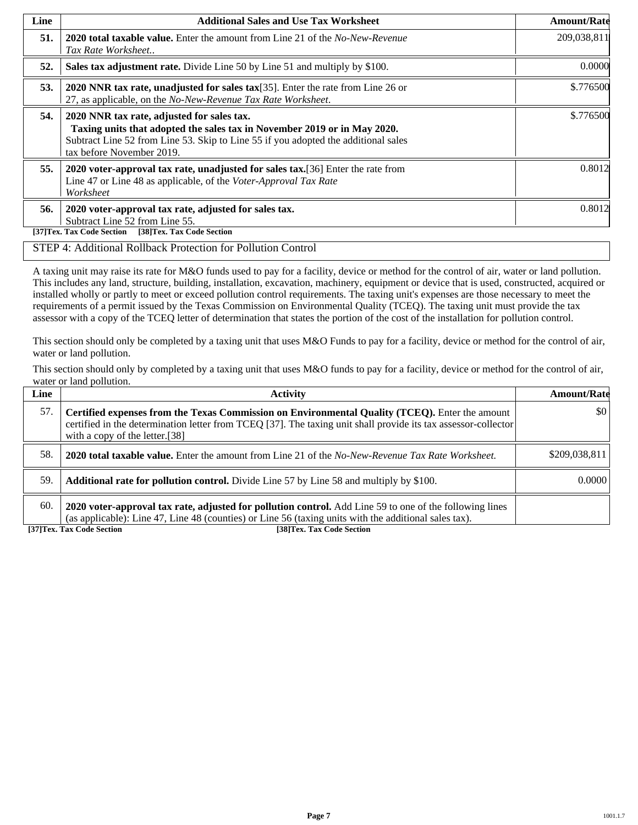| Line | <b>Additional Sales and Use Tax Worksheet</b>                                                                                                                                                                                             | <b>Amount/Rate</b> |
|------|-------------------------------------------------------------------------------------------------------------------------------------------------------------------------------------------------------------------------------------------|--------------------|
| 51.  | <b>2020 total taxable value.</b> Enter the amount from Line 21 of the <i>No-New-Revenue</i><br>Tax Rate Worksheet                                                                                                                         | 209,038,811        |
| 52.  | Sales tax adjustment rate. Divide Line 50 by Line 51 and multiply by \$100.                                                                                                                                                               | 0.0000             |
| 53.  | 2020 NNR tax rate, unadjusted for sales tax $[35]$ . Enter the rate from Line 26 or<br>27, as applicable, on the No-New-Revenue Tax Rate Worksheet.                                                                                       | \$.776500          |
| 54.  | 2020 NNR tax rate, adjusted for sales tax.<br>Taxing units that adopted the sales tax in November 2019 or in May 2020.<br>Subtract Line 52 from Line 53. Skip to Line 55 if you adopted the additional sales<br>tax before November 2019. | \$.776500          |
| 55.  | 2020 voter-approval tax rate, unadjusted for sales tax. [36] Enter the rate from<br>Line 47 or Line 48 as applicable, of the Voter-Approval Tax Rate<br>Worksheet                                                                         | 0.8012             |
| 56.  | 2020 voter-approval tax rate, adjusted for sales tax.<br>Subtract Line 52 from Line 55.<br>[37]Tex. Tax Code Section<br>[38]Tex. Tax Code Section                                                                                         | 0.8012             |

### STEP 4: Additional Rollback Protection for Pollution Control

A taxing unit may raise its rate for M&O funds used to pay for a facility, device or method for the control of air, water or land pollution. This includes any land, structure, building, installation, excavation, machinery, equipment or device that is used, constructed, acquired or installed wholly or partly to meet or exceed pollution control requirements. The taxing unit's expenses are those necessary to meet the requirements of a permit issued by the Texas Commission on Environmental Quality (TCEQ). The taxing unit must provide the tax assessor with a copy of the TCEQ letter of determination that states the portion of the cost of the installation for pollution control.

This section should only be completed by a taxing unit that uses M&O Funds to pay for a facility, device or method for the control of air, water or land pollution.

This section should only by completed by a taxing unit that uses M&O funds to pay for a facility, device or method for the control of air, water or land pollution.

| Line | <b>Activity</b>                                                                                                                                                                                                                                    | <b>Amount/Rate</b>      |
|------|----------------------------------------------------------------------------------------------------------------------------------------------------------------------------------------------------------------------------------------------------|-------------------------|
| 57.  | Certified expenses from the Texas Commission on Environmental Quality (TCEQ). Enter the amount<br>certified in the determination letter from TCEQ [37]. The taxing unit shall provide its tax assessor-collector<br>with a copy of the letter.[38] | $\vert \$\text{0}\vert$ |
| 58.  | <b>2020 total taxable value.</b> Enter the amount from Line 21 of the No-New-Revenue Tax Rate Worksheet.                                                                                                                                           | \$209,038,811           |
| 59.  | <b>Additional rate for pollution control.</b> Divide Line 57 by Line 58 and multiply by \$100.                                                                                                                                                     | 0.0000                  |
| 60.  | 2020 voter-approval tax rate, adjusted for pollution control. Add Line 59 to one of the following lines<br>(as applicable): Line 47, Line 48 (counties) or Line 56 (taxing units with the additional sales tax).                                   |                         |

**[37]Tex. Tax Code Section [38]Tex. Tax Code Section**